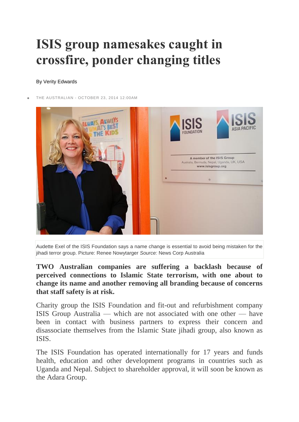## **ISIS group namesakes caught in crossfire, ponder changing titles**

## By Verity Edwards

[THE AUSTRALIAN](http://www.theaustralian.com.au/) - OCTOBER 23, 2014 12:00AM



Audette Exel of the ISIS Foundation says a name change is essential to avoid being mistaken for the jihadi terror group. Picture: Renee Nowytarger *Source:* News Corp Australia

**TWO Australian companies are suffering a backlash because of perceived connections to Islamic State terrorism, with one about to change its name and another removing all branding because of concerns that staff safety is at risk.**

Charity group the ISIS Foundation and fit-out and refurbishment company ISIS Group Australia — which are not associated with one other — have been in contact with business partners to express their concern and disassociate themselves from the Islamic State jihadi group, also known as ISIS.

The ISIS Foundation has operated internationally for 17 years and funds health, education and other development programs in countries such as Uganda and Nepal. Subject to shareholder approval, it will soon be known as the Adara Group.